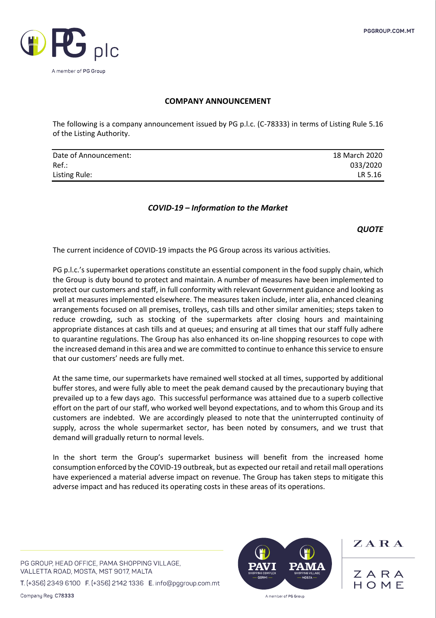

## **COMPANY ANNOUNCEMENT**

The following is a company announcement issued by PG p.l.c. (C-78333) in terms of Listing Rule 5.16 of the Listing Authority.

| Date of Announcement: | 18 March 2020 |
|-----------------------|---------------|
| $Ref.$ :              | 033/2020      |
| Listing Rule:         | LR 5.16       |

## *COVID-19 – Information to the Market*

*QUOTE*

The current incidence of COVID-19 impacts the PG Group across its various activities.

PG p.l.c.'s supermarket operations constitute an essential component in the food supply chain, which the Group is duty bound to protect and maintain. A number of measures have been implemented to protect our customers and staff, in full conformity with relevant Government guidance and looking as well at measures implemented elsewhere. The measures taken include, inter alia, enhanced cleaning arrangements focused on all premises, trolleys, cash tills and other similar amenities; steps taken to reduce crowding, such as stocking of the supermarkets after closing hours and maintaining appropriate distances at cash tills and at queues; and ensuring at all times that our staff fully adhere to quarantine regulations. The Group has also enhanced its on-line shopping resources to cope with the increased demand in this area and we are committed to continue to enhance this service to ensure that our customers' needs are fully met.

At the same time, our supermarkets have remained well stocked at all times, supported by additional buffer stores, and were fully able to meet the peak demand caused by the precautionary buying that prevailed up to a few days ago. This successful performance was attained due to a superb collective effort on the part of our staff, who worked well beyond expectations, and to whom this Group and its customers are indebted. We are accordingly pleased to note that the uninterrupted continuity of supply, across the whole supermarket sector, has been noted by consumers, and we trust that demand will gradually return to normal levels.

In the short term the Group's supermarket business will benefit from the increased home consumption enforced by the COVID-19 outbreak, but as expected our retail and retail mall operations have experienced a material adverse impact on revenue. The Group has taken steps to mitigate this adverse impact and has reduced its operating costs in these areas of its operations.

PG GROUP, HEAD OFFICE, PAMA SHOPPING VILLAGE, VALLETTA ROAD, MOSTA, MST 9017, MALTA

T. (+356) 2349 6100 F. (+356) 2142 1336 E. info@pggroup.com.mt

Company Reg. C78333



 $Z$  A R A

ZARA  $H \cap M F$